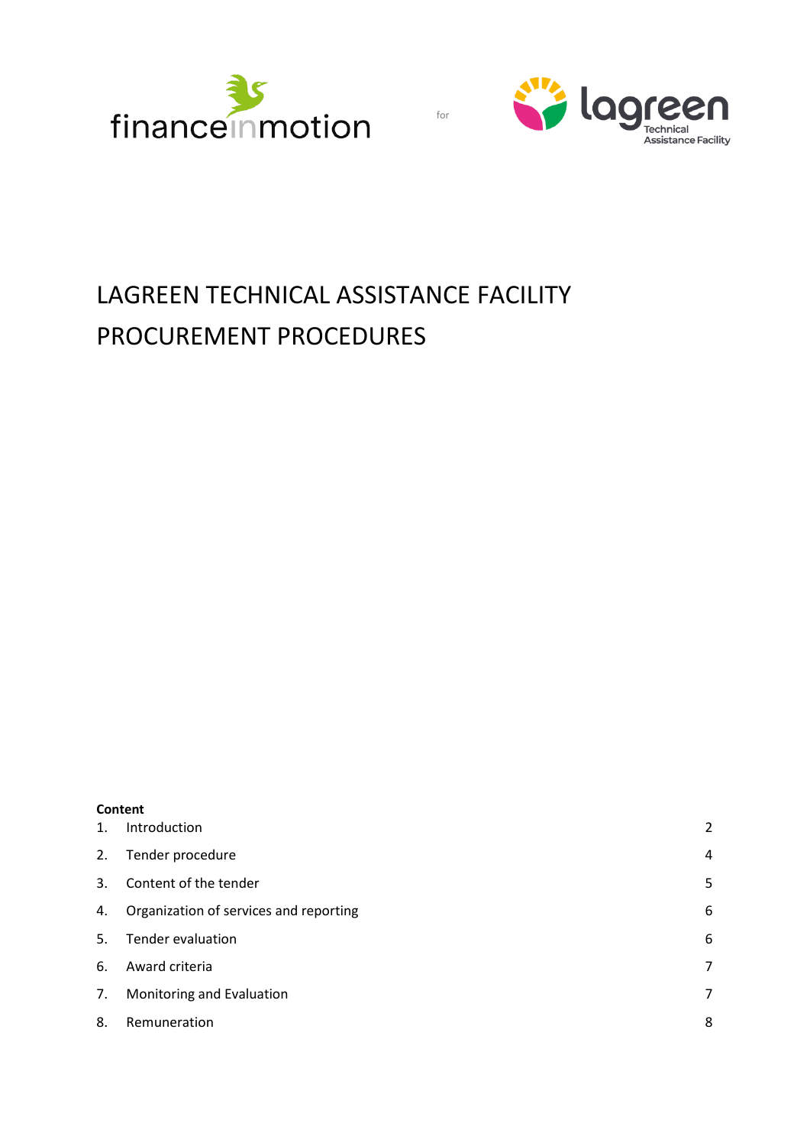



# LAGREEN TECHNICAL ASSISTANCE FACILITY PROCUREMENT PROCEDURES

for

| Content |
|---------|
|         |

| $\mathbf{1}$ . | Introduction                           | $\overline{a}$ |
|----------------|----------------------------------------|----------------|
| 2.             | Tender procedure                       | 4              |
| 3.             | Content of the tender                  | 5              |
| 4.             | Organization of services and reporting | 6              |
| .5.            | <b>Tender evaluation</b>               | 6              |
| 6.             | Award criteria                         | 7              |
| 7.             | Monitoring and Evaluation              | 7              |
| 8.             | Remuneration                           | 8              |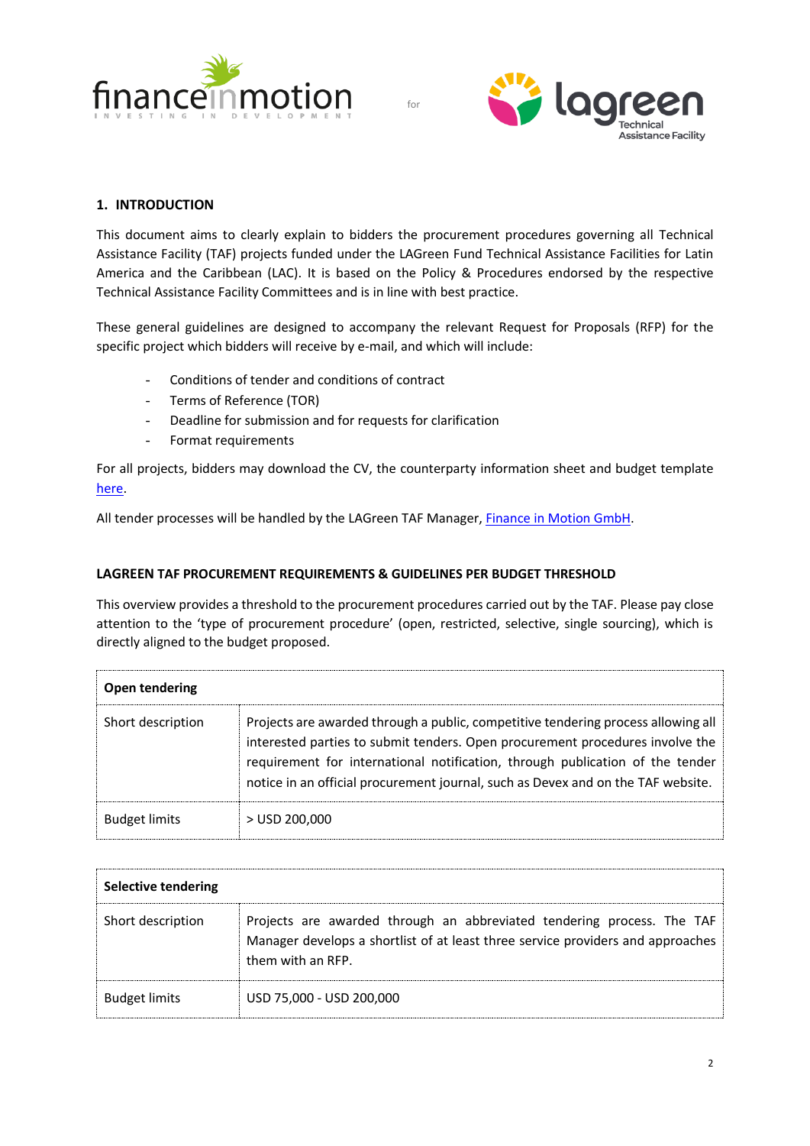



## **1. INTRODUCTION**

This document aims to clearly explain to bidders the procurement procedures governing all Technical Assistance Facility (TAF) projects funded under the LAGreen Fund Technical Assistance Facilities for Latin America and the Caribbean (LAC). It is based on the Policy & Procedures endorsed by the respective Technical Assistance Facility Committees and is in line with best practice.

These general guidelines are designed to accompany the relevant Request for Proposals (RFP) for the specific project which bidders will receive by e-mail, and which will include:

- Conditions of tender and conditions of contract
- Terms of Reference (TOR)
- Deadline for submission and for requests for clarification
- Format requirements

For all projects, bidders may download the CV, the counterparty information sheet and budget template [here.](https://lagreen.lu/technical-assistance/)

All tender processes will be handled by the LAGreen TAF Manager, [Finance in Motion GmbH.](https://www.finance-in-motion.com/)

## **LAGREEN TAF PROCUREMENT REQUIREMENTS & GUIDELINES PER BUDGET THRESHOLD**

This overview provides a threshold to the procurement procedures carried out by the TAF. Please pay close attention to the 'type of procurement procedure' (open, restricted, selective, single sourcing), which is directly aligned to the budget proposed.

| Open tendering       |                                                                                                                                                                                                                                                                                                                                         |  |  |  |
|----------------------|-----------------------------------------------------------------------------------------------------------------------------------------------------------------------------------------------------------------------------------------------------------------------------------------------------------------------------------------|--|--|--|
| Short description    | Projects are awarded through a public, competitive tendering process allowing all<br>interested parties to submit tenders. Open procurement procedures involve the<br>requirement for international notification, through publication of the tender<br>notice in an official procurement journal, such as Devex and on the TAF website. |  |  |  |
| <b>Budget limits</b> | $>$ USD 200,000                                                                                                                                                                                                                                                                                                                         |  |  |  |

| Selective tendering  |                                                                                                                                                                                |  |  |  |  |
|----------------------|--------------------------------------------------------------------------------------------------------------------------------------------------------------------------------|--|--|--|--|
| Short description    | Projects are awarded through an abbreviated tendering process. The TAF<br>Manager develops a shortlist of at least three service providers and approaches<br>them with an RFP. |  |  |  |  |
| <b>Budget limits</b> | USD 75,000 - USD 200,000                                                                                                                                                       |  |  |  |  |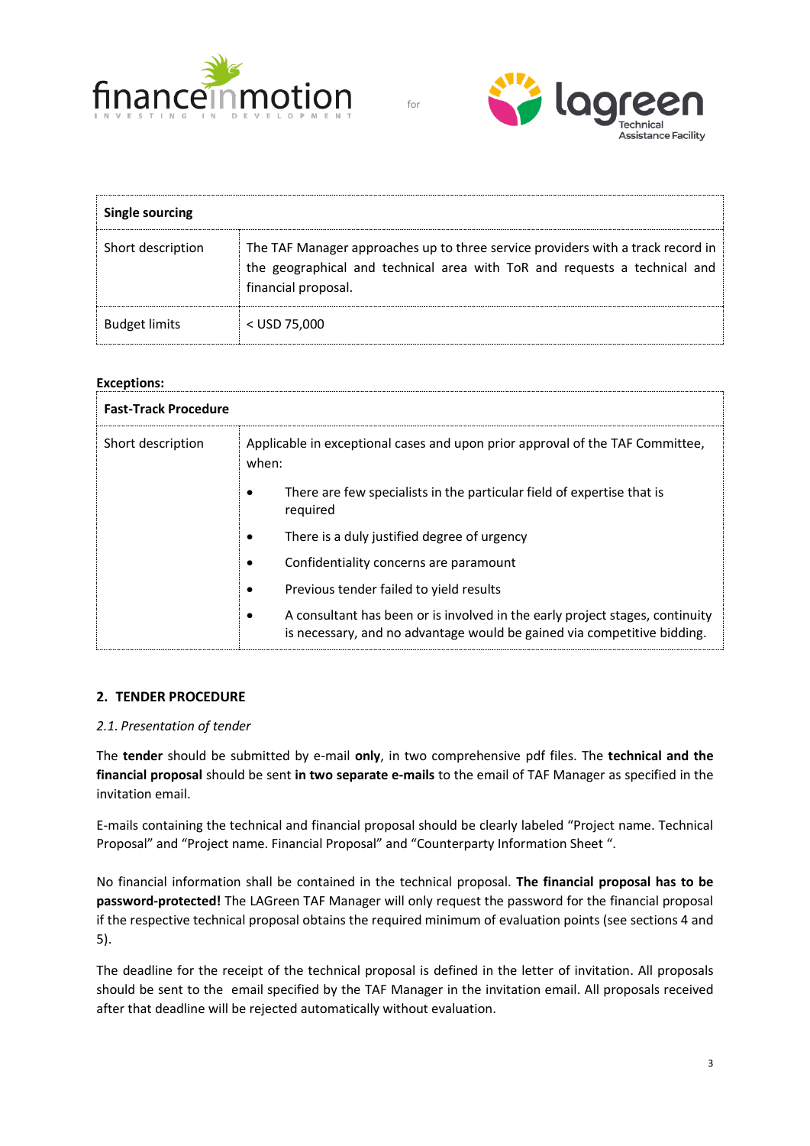



| <b>Single sourcing</b> |                                                                                                                                                                                     |  |  |  |  |
|------------------------|-------------------------------------------------------------------------------------------------------------------------------------------------------------------------------------|--|--|--|--|
| Short description      | The TAF Manager approaches up to three service providers with a track record in<br>the geographical and technical area with ToR and requests a technical and<br>financial proposal. |  |  |  |  |
| <b>Budget limits</b>   | $<$ USD 75,000                                                                                                                                                                      |  |  |  |  |

## **Exceptions:**

| <b>Fast-Track Procedure</b> |                                                                                                                                                              |  |  |  |
|-----------------------------|--------------------------------------------------------------------------------------------------------------------------------------------------------------|--|--|--|
| Short description           | Applicable in exceptional cases and upon prior approval of the TAF Committee,<br>when:                                                                       |  |  |  |
|                             | There are few specialists in the particular field of expertise that is<br>٠<br>required                                                                      |  |  |  |
|                             | There is a duly justified degree of urgency<br>٠                                                                                                             |  |  |  |
|                             | Confidentiality concerns are paramount<br>٠                                                                                                                  |  |  |  |
|                             | Previous tender failed to yield results<br>٠                                                                                                                 |  |  |  |
|                             | A consultant has been or is involved in the early project stages, continuity<br>٠<br>is necessary, and no advantage would be gained via competitive bidding. |  |  |  |

## **2. TENDER PROCEDURE**

## *2.1. Presentation of tender*

The **tender** should be submitted by e-mail **only**, in two comprehensive pdf files. The **technical and the financial proposal** should be sent **in two separate e-mails** to the email of TAF Manager as specified in the invitation email.

E-mails containing the technical and financial proposal should be clearly labeled "Project name. Technical Proposal" and "Project name. Financial Proposal" and "Counterparty Information Sheet ".

No financial information shall be contained in the technical proposal. **The financial proposal has to be password-protected!** The LAGreen TAF Manager will only request the password for the financial proposal if the respective technical proposal obtains the required minimum of evaluation points (see sections 4 and 5).

The deadline for the receipt of the technical proposal is defined in the letter of invitation. All proposals should be sent to the email specified by the TAF Manager in the invitation email. All proposals received after that deadline will be rejected automatically without evaluation.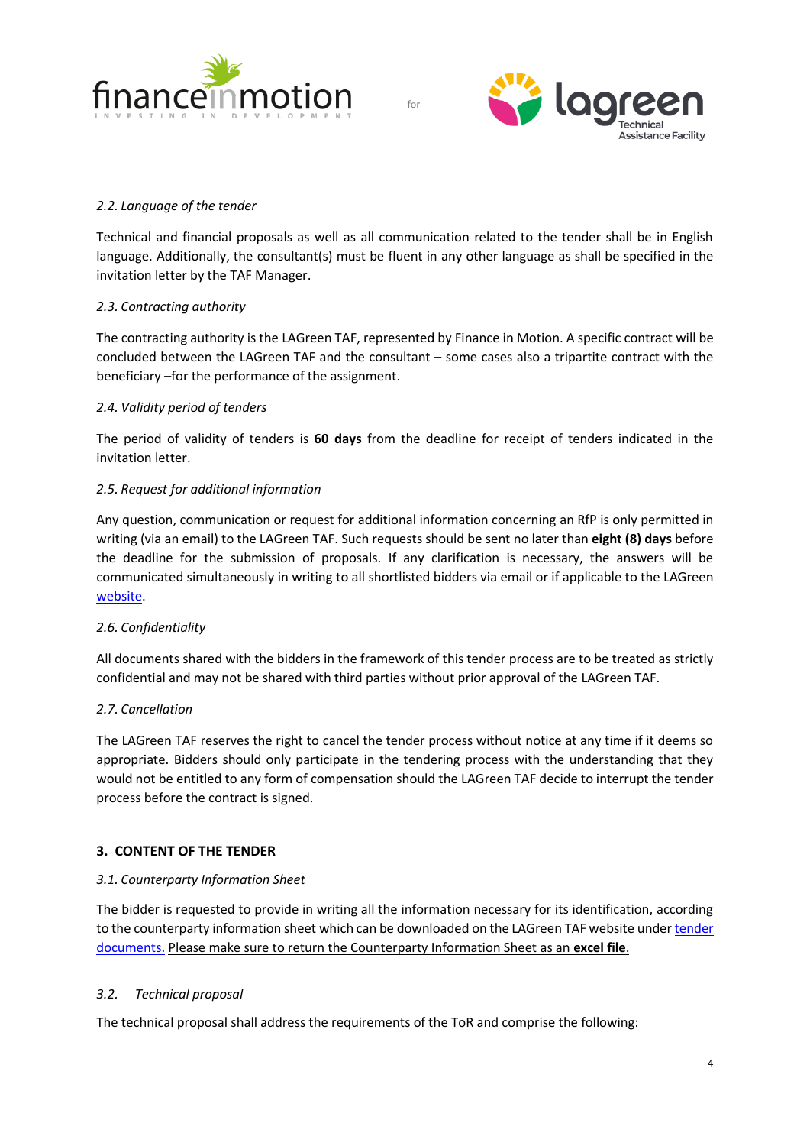



## *2.2. Language of the tender*

Technical and financial proposals as well as all communication related to the tender shall be in English language. Additionally, the consultant(s) must be fluent in any other language as shall be specified in the invitation letter by the TAF Manager.

for

## *2.3. Contracting authority*

The contracting authority is the LAGreen TAF, represented by Finance in Motion. A specific contract will be concluded between the LAGreen TAF and the consultant – some cases also a tripartite contract with the beneficiary –for the performance of the assignment.

#### *2.4. Validity period of tenders*

The period of validity of tenders is **60 days** from the deadline for receipt of tenders indicated in the invitation letter.

#### *2.5. Request for additional information*

Any question, communication or request for additional information concerning an RfP is only permitted in writing (via an email) to the LAGreen TAF. Such requests should be sent no later than **eight (8) days** before the deadline for the submission of proposals. If any clarification is necessary, the answers will be communicated simultaneously in writing to all shortlisted bidders via email or if applicable to the LAGreen [website.](https://lagreen.lu/)

## *2.6. Confidentiality*

All documents shared with the bidders in the framework of this tender process are to be treated as strictly confidential and may not be shared with third parties without prior approval of the LAGreen TAF.

## *2.7. Cancellation*

The LAGreen TAF reserves the right to cancel the tender process without notice at any time if it deems so appropriate. Bidders should only participate in the tendering process with the understanding that they would not be entitled to any form of compensation should the LAGreen TAF decide to interrupt the tender process before the contract is signed.

## **3. CONTENT OF THE TENDER**

## *3.1. Counterparty Information Sheet*

The bidder is requested to provide in writing all the information necessary for its identification, according to the counterparty information sheet which can be downloaded on the LAGreen TAF website under tender [documents.](https://lagreen.lu/technical-assistance/) Please make sure to return the Counterparty Information Sheet as an **excel file**.

## *3.2. Technical proposal*

The technical proposal shall address the requirements of the ToR and comprise the following: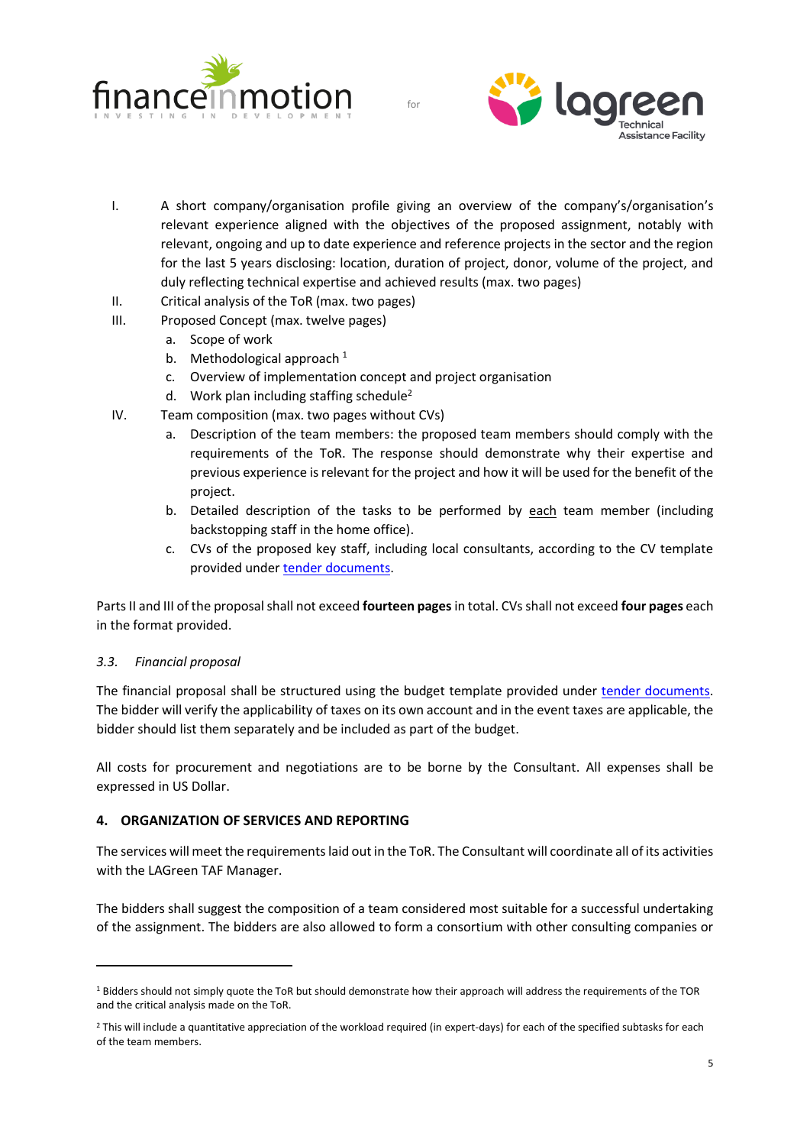



- I. A short company/organisation profile giving an overview of the company's/organisation's relevant experience aligned with the objectives of the proposed assignment, notably with relevant, ongoing and up to date experience and reference projects in the sector and the region for the last 5 years disclosing: location, duration of project, donor, volume of the project, and duly reflecting technical expertise and achieved results (max. two pages)
- II. Critical analysis of the ToR (max. two pages)
- III. Proposed Concept (max. twelve pages)
	- a. Scope of work
	- b. Methodological approach  $1$
	- c. Overview of implementation concept and project organisation
	- d. Work plan including staffing schedule<sup>2</sup>
- IV. Team composition (max. two pages without CVs)
	- a. Description of the team members: the proposed team members should comply with the requirements of the ToR. The response should demonstrate why their expertise and previous experience is relevant for the project and how it will be used for the benefit of the project.
	- b. Detailed description of the tasks to be performed by each team member (including backstopping staff in the home office).
	- c. CVs of the proposed key staff, including local consultants, according to the CV template provided under [tender documents.](https://lagreen.lu/technical-assistance/)

Parts II and III of the proposal shall not exceed **fourteen pages**in total. CVs shall not exceed **four pages** each in the format provided.

## *3.3. Financial proposal*

The financial proposal shall be structured using the budget template provided under [tender documents.](https://lagreen.lu/technical-assistance/) The bidder will verify the applicability of taxes on its own account and in the event taxes are applicable, the bidder should list them separately and be included as part of the budget.

All costs for procurement and negotiations are to be borne by the Consultant. All expenses shall be expressed in US Dollar.

## **4. ORGANIZATION OF SERVICES AND REPORTING**

The services will meet the requirements laid out in the ToR. The Consultant will coordinate all of its activities with the LAGreen TAF Manager.

The bidders shall suggest the composition of a team considered most suitable for a successful undertaking of the assignment. The bidders are also allowed to form a consortium with other consulting companies or

<sup>&</sup>lt;sup>1</sup> Bidders should not simply quote the ToR but should demonstrate how their approach will address the requirements of the TOR and the critical analysis made on the ToR.

<sup>&</sup>lt;sup>2</sup> This will include a quantitative appreciation of the workload required (in expert-days) for each of the specified subtasks for each of the team members.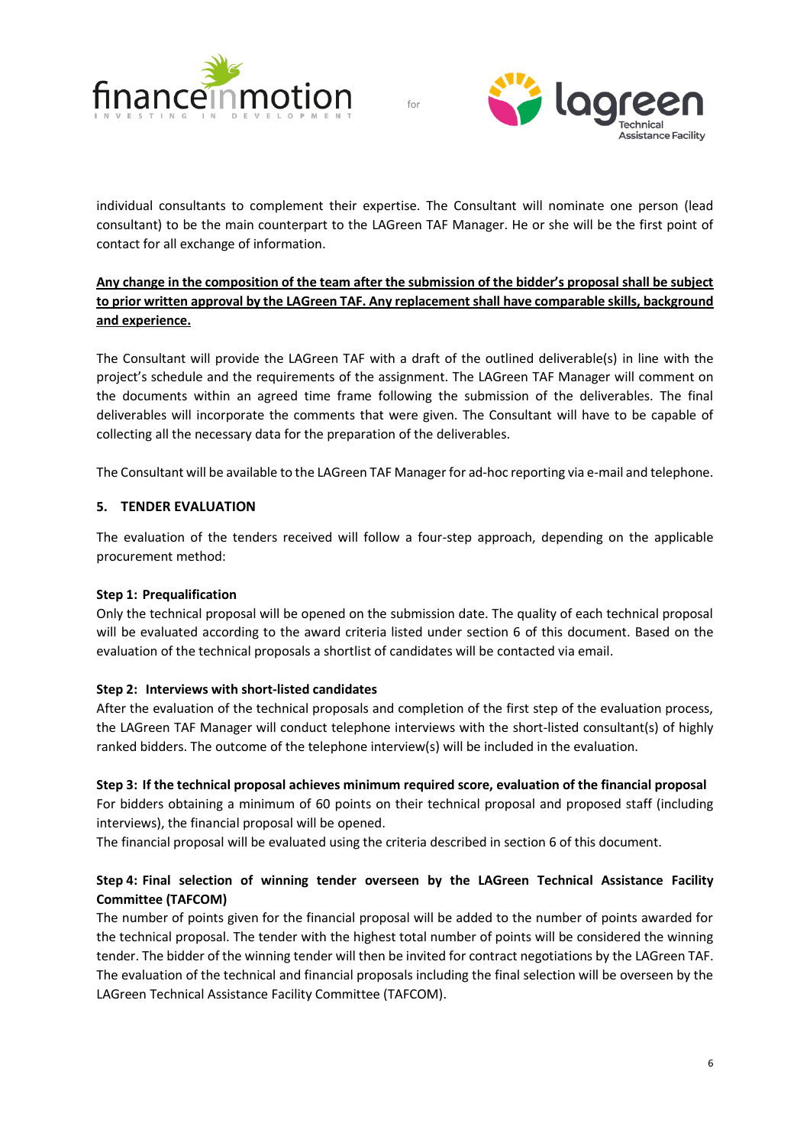



individual consultants to complement their expertise. The Consultant will nominate one person (lead consultant) to be the main counterpart to the LAGreen TAF Manager. He or she will be the first point of contact for all exchange of information.

for

# **Any change in the composition of the team after the submission of the bidder's proposal shall be subject to prior written approval by the LAGreen TAF. Any replacement shall have comparable skills, background and experience.**

The Consultant will provide the LAGreen TAF with a draft of the outlined deliverable(s) in line with the project's schedule and the requirements of the assignment. The LAGreen TAF Manager will comment on the documents within an agreed time frame following the submission of the deliverables. The final deliverables will incorporate the comments that were given. The Consultant will have to be capable of collecting all the necessary data for the preparation of the deliverables.

The Consultant will be available to the LAGreen TAF Manager for ad-hoc reporting via e-mail and telephone.

## **5. TENDER EVALUATION**

The evaluation of the tenders received will follow a four-step approach, depending on the applicable procurement method:

## **Step 1: Prequalification**

Only the technical proposal will be opened on the submission date. The quality of each technical proposal will be evaluated according to the award criteria listed under section 6 of this document. Based on the evaluation of the technical proposals a shortlist of candidates will be contacted via email.

## **Step 2: Interviews with short-listed candidates**

After the evaluation of the technical proposals and completion of the first step of the evaluation process, the LAGreen TAF Manager will conduct telephone interviews with the short-listed consultant(s) of highly ranked bidders. The outcome of the telephone interview(s) will be included in the evaluation.

## **Step 3: If the technical proposal achieves minimum required score, evaluation of the financial proposal**

For bidders obtaining a minimum of 60 points on their technical proposal and proposed staff (including interviews), the financial proposal will be opened.

The financial proposal will be evaluated using the criteria described in section 6 of this document.

## **Step 4: Final selection of winning tender overseen by the LAGreen Technical Assistance Facility Committee (TAFCOM)**

The number of points given for the financial proposal will be added to the number of points awarded for the technical proposal. The tender with the highest total number of points will be considered the winning tender. The bidder of the winning tender will then be invited for contract negotiations by the LAGreen TAF. The evaluation of the technical and financial proposals including the final selection will be overseen by the LAGreen Technical Assistance Facility Committee (TAFCOM).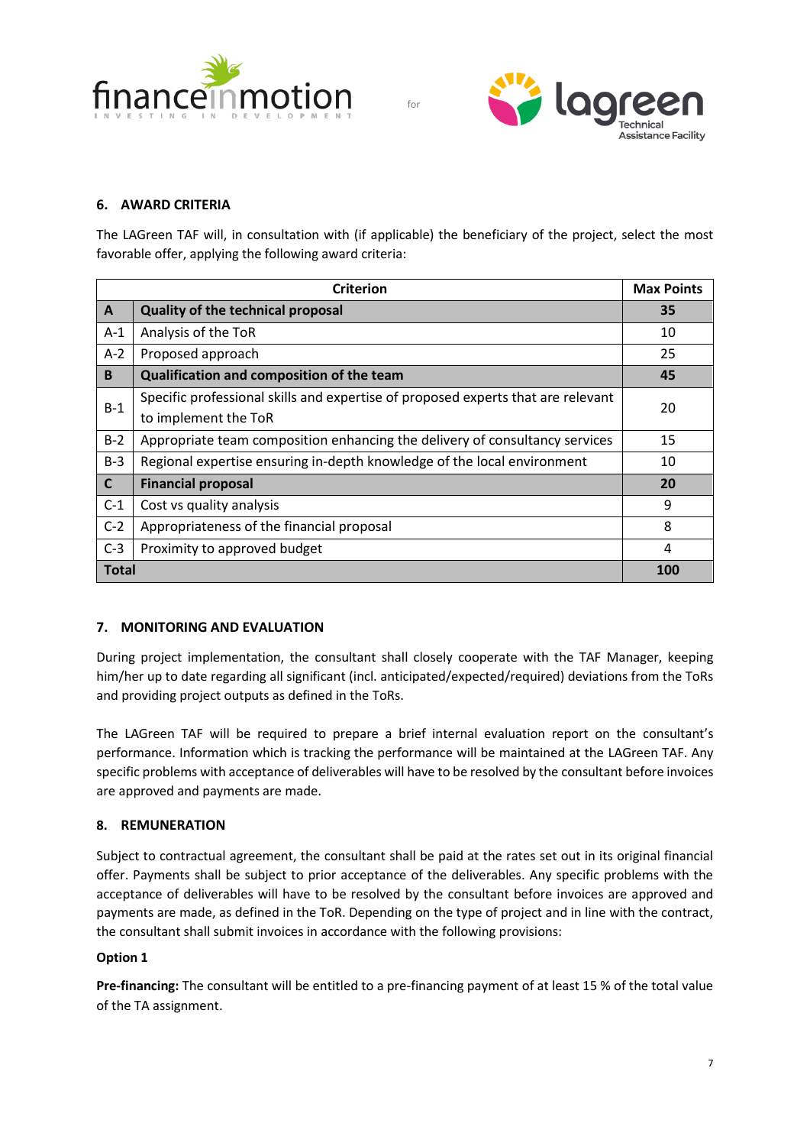



## **6. AWARD CRITERIA**

The LAGreen TAF will, in consultation with (if applicable) the beneficiary of the project, select the most favorable offer, applying the following award criteria:

| <b>Criterion</b> |                                                                                  |     |
|------------------|----------------------------------------------------------------------------------|-----|
| $\mathsf{A}$     | Quality of the technical proposal                                                | 35  |
| $A-1$            | Analysis of the ToR                                                              | 10  |
| $A-2$            | Proposed approach                                                                | 25  |
| B                | Qualification and composition of the team                                        | 45  |
| $B-1$            | Specific professional skills and expertise of proposed experts that are relevant | 20  |
|                  | to implement the ToR                                                             |     |
| $B-2$            | Appropriate team composition enhancing the delivery of consultancy services      | 15  |
| $B-3$            | Regional expertise ensuring in-depth knowledge of the local environment          | 10  |
| $\mathsf{C}$     | <b>Financial proposal</b>                                                        | 20  |
| $C-1$            | Cost vs quality analysis                                                         | 9   |
| $C-2$            | Appropriateness of the financial proposal                                        | 8   |
| $C-3$            | Proximity to approved budget                                                     | 4   |
| <b>Total</b>     |                                                                                  | 100 |

# **7. MONITORING AND EVALUATION**

During project implementation, the consultant shall closely cooperate with the TAF Manager, keeping him/her up to date regarding all significant (incl. anticipated/expected/required) deviations from the ToRs and providing project outputs as defined in the ToRs.

The LAGreen TAF will be required to prepare a brief internal evaluation report on the consultant's performance. Information which is tracking the performance will be maintained at the LAGreen TAF. Any specific problems with acceptance of deliverables will have to be resolved by the consultant before invoices are approved and payments are made.

## **8. REMUNERATION**

Subject to contractual agreement, the consultant shall be paid at the rates set out in its original financial offer. Payments shall be subject to prior acceptance of the deliverables. Any specific problems with the acceptance of deliverables will have to be resolved by the consultant before invoices are approved and payments are made, as defined in the ToR. Depending on the type of project and in line with the contract, the consultant shall submit invoices in accordance with the following provisions:

## **Option 1**

**Pre-financing:** The consultant will be entitled to a pre-financing payment of at least 15 % of the total value of the TA assignment.